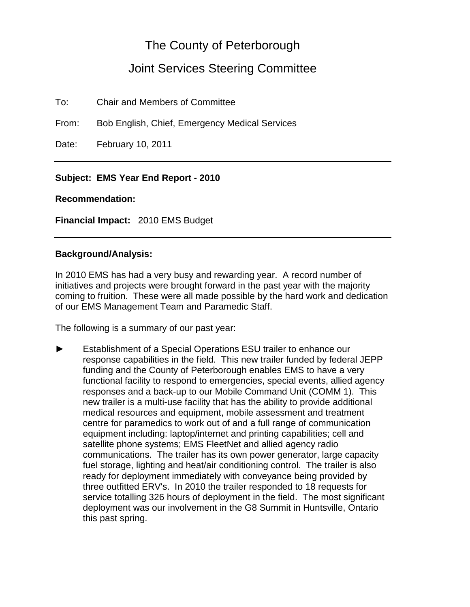# The County of Peterborough

# Joint Services Steering Committee

To: Chair and Members of Committee

From: Bob English, Chief, Emergency Medical Services

Date: February 10, 2011

## **Subject: EMS Year End Report - 2010**

### **Recommendation:**

**Financial Impact:** 2010 EMS Budget

### **Background/Analysis:**

In 2010 EMS has had a very busy and rewarding year. A record number of initiatives and projects were brought forward in the past year with the majority coming to fruition. These were all made possible by the hard work and dedication of our EMS Management Team and Paramedic Staff.

The following is a summary of our past year:

Establishment of a Special Operations ESU trailer to enhance our response capabilities in the field. This new trailer funded by federal JEPP funding and the County of Peterborough enables EMS to have a very functional facility to respond to emergencies, special events, allied agency responses and a back-up to our Mobile Command Unit (COMM 1). This new trailer is a multi-use facility that has the ability to provide additional medical resources and equipment, mobile assessment and treatment centre for paramedics to work out of and a full range of communication equipment including: laptop/internet and printing capabilities; cell and satellite phone systems; EMS FleetNet and allied agency radio communications. The trailer has its own power generator, large capacity fuel storage, lighting and heat/air conditioning control. The trailer is also ready for deployment immediately with conveyance being provided by three outfitted ERV's. In 2010 the trailer responded to 18 requests for service totalling 326 hours of deployment in the field. The most significant deployment was our involvement in the G8 Summit in Huntsville, Ontario this past spring.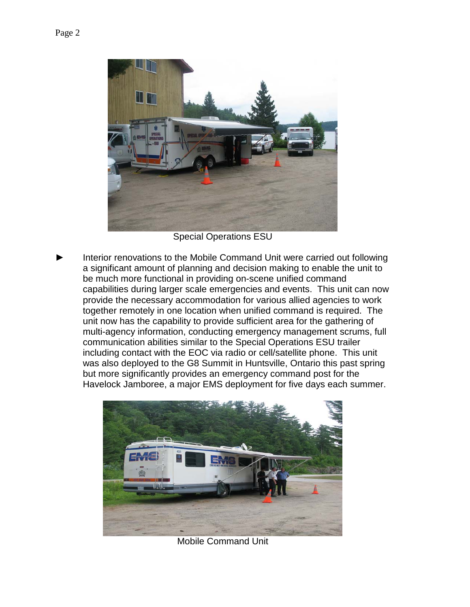

Special Operations ESU

Interior renovations to the Mobile Command Unit were carried out following a significant amount of planning and decision making to enable the unit to be much more functional in providing on-scene unified command capabilities during larger scale emergencies and events. This unit can now provide the necessary accommodation for various allied agencies to work together remotely in one location when unified command is required. The unit now has the capability to provide sufficient area for the gathering of multi-agency information, conducting emergency management scrums, full communication abilities similar to the Special Operations ESU trailer including contact with the EOC via radio or cell/satellite phone. This unit was also deployed to the G8 Summit in Huntsville, Ontario this past spring but more significantly provides an emergency command post for the Havelock Jamboree, a major EMS deployment for five days each summer.



Mobile Command Unit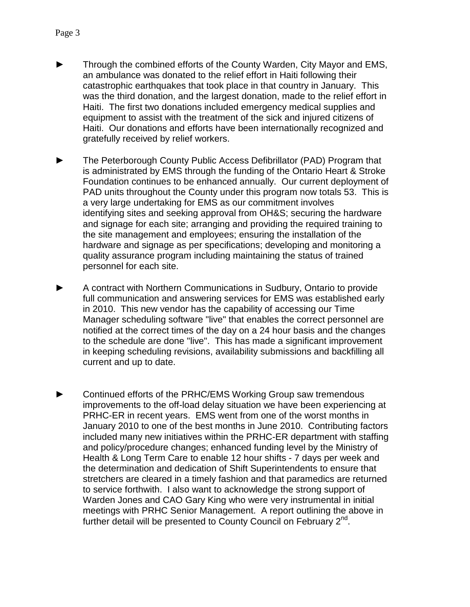- Through the combined efforts of the County Warden, City Mayor and EMS, an ambulance was donated to the relief effort in Haiti following their catastrophic earthquakes that took place in that country in January. This was the third donation, and the largest donation, made to the relief effort in Haiti. The first two donations included emergency medical supplies and equipment to assist with the treatment of the sick and injured citizens of Haiti. Our donations and efforts have been internationally recognized and gratefully received by relief workers.
- The Peterborough County Public Access Defibrillator (PAD) Program that is administrated by EMS through the funding of the Ontario Heart & Stroke Foundation continues to be enhanced annually. Our current deployment of PAD units throughout the County under this program now totals 53. This is a very large undertaking for EMS as our commitment involves identifying sites and seeking approval from OH&S; securing the hardware and signage for each site; arranging and providing the required training to the site management and employees; ensuring the installation of the hardware and signage as per specifications; developing and monitoring a quality assurance program including maintaining the status of trained personnel for each site.
- A contract with Northern Communications in Sudbury, Ontario to provide full communication and answering services for EMS was established early in 2010. This new vendor has the capability of accessing our Time Manager scheduling software "live" that enables the correct personnel are notified at the correct times of the day on a 24 hour basis and the changes to the schedule are done "live". This has made a significant improvement in keeping scheduling revisions, availability submissions and backfilling all current and up to date.
- Continued efforts of the PRHC/EMS Working Group saw tremendous improvements to the off-load delay situation we have been experiencing at PRHC-ER in recent years. EMS went from one of the worst months in January 2010 to one of the best months in June 2010. Contributing factors included many new initiatives within the PRHC-ER department with staffing and policy/procedure changes; enhanced funding level by the Ministry of Health & Long Term Care to enable 12 hour shifts - 7 days per week and the determination and dedication of Shift Superintendents to ensure that stretchers are cleared in a timely fashion and that paramedics are returned to service forthwith. I also want to acknowledge the strong support of Warden Jones and CAO Gary King who were very instrumental in initial meetings with PRHC Senior Management. A report outlining the above in further detail will be presented to County Council on February  $2^{nd}$ .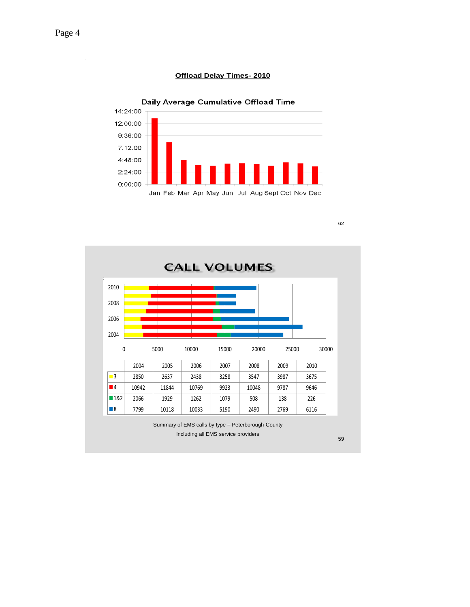#### **Offload Delay Times- 2010**



**CALL VOLUMES** 2010 2008 2006 2004 0 5000 10000 15000 20000 25000 30000 2004 2005 2006 2007 2008 2009 2010 3 2850 2637 2438 3258 3547 3987 3675 4 10942 11844 10769 9923 10048 9787 9646 1&2 2066 1929 1262 1079 508 138 226 8 | 7799 | 10118 | 10033 | 5190 | 2490 | 2769 | 6116 Summary of EMS calls by type – Peterborough County Including all EMS service providers 59

62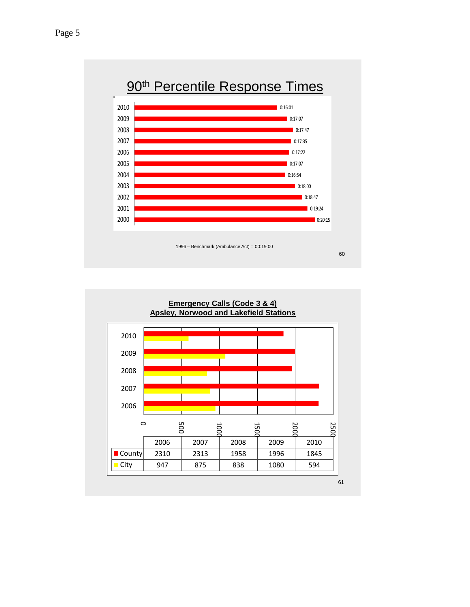

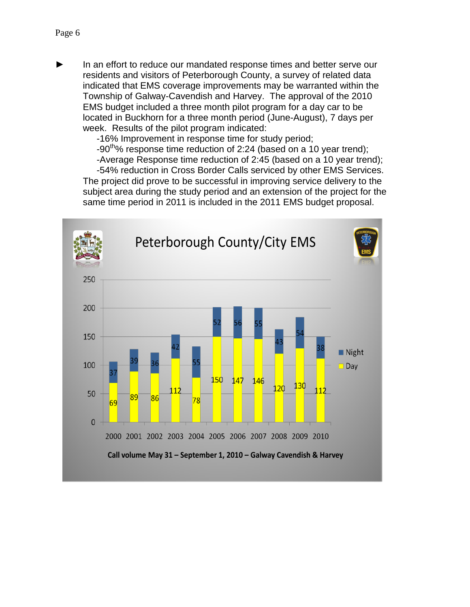In an effort to reduce our mandated response times and better serve our residents and visitors of Peterborough County, a survey of related data indicated that EMS coverage improvements may be warranted within the Township of Galway-Cavendish and Harvey. The approval of the 2010 EMS budget included a three month pilot program for a day car to be located in Buckhorn for a three month period (June-August), 7 days per week. Results of the pilot program indicated:

-16% Improvement in response time for study period;

 $-90<sup>th</sup>$ % response time reduction of 2:24 (based on a 10 year trend);

-Average Response time reduction of 2:45 (based on a 10 year trend); -54% reduction in Cross Border Calls serviced by other EMS Services. The project did prove to be successful in improving service delivery to the subject area during the study period and an extension of the project for the same time period in 2011 is included in the 2011 EMS budget proposal.

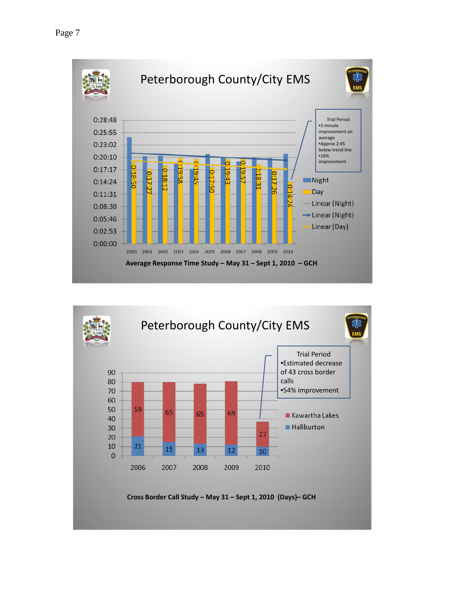

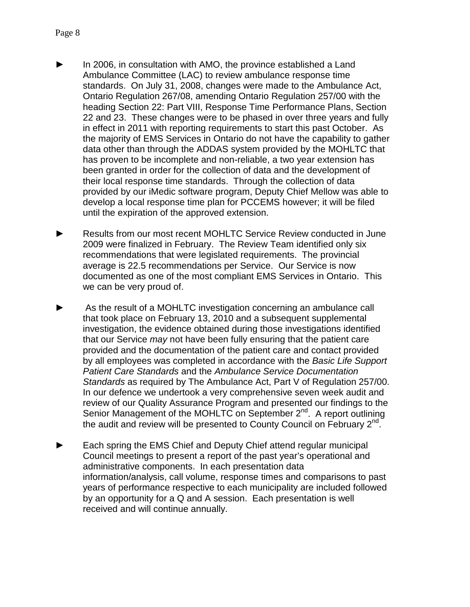- In 2006, in consultation with AMO, the province established a Land Ambulance Committee (LAC) to review ambulance response time standards. On July 31, 2008, changes were made to the Ambulance Act, Ontario Regulation 267/08, amending Ontario Regulation 257/00 with the heading Section 22: Part VIII, Response Time Performance Plans, Section 22 and 23. These changes were to be phased in over three years and fully in effect in 2011 with reporting requirements to start this past October. As the majority of EMS Services in Ontario do not have the capability to gather data other than through the ADDAS system provided by the MOHLTC that has proven to be incomplete and non-reliable, a two year extension has been granted in order for the collection of data and the development of their local response time standards. Through the collection of data provided by our iMedic software program, Deputy Chief Mellow was able to develop a local response time plan for PCCEMS however; it will be filed until the expiration of the approved extension.
- Results from our most recent MOHLTC Service Review conducted in June 2009 were finalized in February. The Review Team identified only six recommendations that were legislated requirements. The provincial average is 22.5 recommendations per Service. Our Service is now documented as one of the most compliant EMS Services in Ontario. This we can be very proud of.
- As the result of a MOHLTC investigation concerning an ambulance call that took place on February 13, 2010 and a subsequent supplemental investigation, the evidence obtained during those investigations identified that our Service *may* not have been fully ensuring that the patient care provided and the documentation of the patient care and contact provided by all employees was completed in accordance with the *Basic Life Support Patient Care Standards* and the *Ambulance Service Documentation Standards* as required by The Ambulance Act, Part V of Regulation 257/00. In our defence we undertook a very comprehensive seven week audit and review of our Quality Assurance Program and presented our findings to the Senior Management of the MOHLTC on September 2<sup>nd</sup>. A report outlining the audit and review will be presented to County Council on February  $2^{nd}$ .
- ► Each spring the EMS Chief and Deputy Chief attend regular municipal Council meetings to present a report of the past year's operational and administrative components. In each presentation data information/analysis, call volume, response times and comparisons to past years of performance respective to each municipality are included followed by an opportunity for a Q and A session. Each presentation is well received and will continue annually.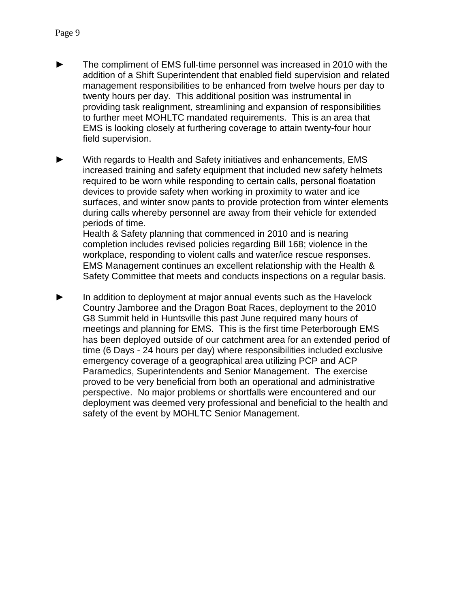- The compliment of EMS full-time personnel was increased in 2010 with the addition of a Shift Superintendent that enabled field supervision and related management responsibilities to be enhanced from twelve hours per day to twenty hours per day. This additional position was instrumental in providing task realignment, streamlining and expansion of responsibilities to further meet MOHLTC mandated requirements. This is an area that EMS is looking closely at furthering coverage to attain twenty-four hour field supervision.
- ► With regards to Health and Safety initiatives and enhancements, EMS increased training and safety equipment that included new safety helmets required to be worn while responding to certain calls, personal floatation devices to provide safety when working in proximity to water and ice surfaces, and winter snow pants to provide protection from winter elements during calls whereby personnel are away from their vehicle for extended periods of time. Health & Safety planning that commenced in 2010 and is nearing completion includes revised policies regarding Bill 168; violence in the workplace, responding to violent calls and water/ice rescue responses.

EMS Management continues an excellent relationship with the Health & Safety Committee that meets and conducts inspections on a regular basis.

In addition to deployment at major annual events such as the Havelock Country Jamboree and the Dragon Boat Races, deployment to the 2010 G8 Summit held in Huntsville this past June required many hours of meetings and planning for EMS. This is the first time Peterborough EMS has been deployed outside of our catchment area for an extended period of time (6 Days - 24 hours per day) where responsibilities included exclusive emergency coverage of a geographical area utilizing PCP and ACP Paramedics, Superintendents and Senior Management. The exercise proved to be very beneficial from both an operational and administrative perspective. No major problems or shortfalls were encountered and our deployment was deemed very professional and beneficial to the health and safety of the event by MOHLTC Senior Management.